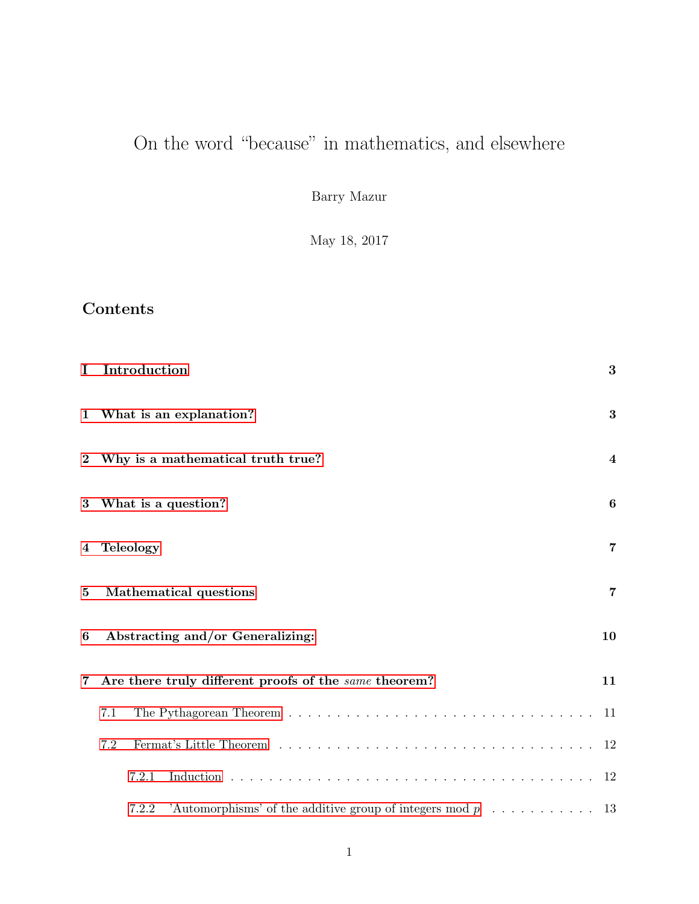# On the word "because" in mathematics, and elsewhere

Barry Mazur

May 18, 2017

# Contents

| $\bf{I}$       | Introduction                                                                                  | 3              |
|----------------|-----------------------------------------------------------------------------------------------|----------------|
|                | 1 What is an explanation?                                                                     | 3              |
| $\bf{2}$       | Why is a mathematical truth true?                                                             | $\overline{4}$ |
| $\bf{3}$       | What is a question?                                                                           | 6              |
|                | 4 Teleology                                                                                   | 7              |
| $\bf{5}$       | Mathematical questions                                                                        | $\overline{7}$ |
| 6              | Abstracting and/or Generalizing:                                                              | 10             |
| $\overline{7}$ | Are there truly different proofs of the same theorem?                                         | 11             |
|                | 7.1                                                                                           | -11            |
|                | 7.2                                                                                           | -12            |
|                | 7.2.1                                                                                         | 12             |
|                | 'Automorphisms' of the additive group of integers mod $p \dots \dots \dots \dots$ 13<br>7.2.2 |                |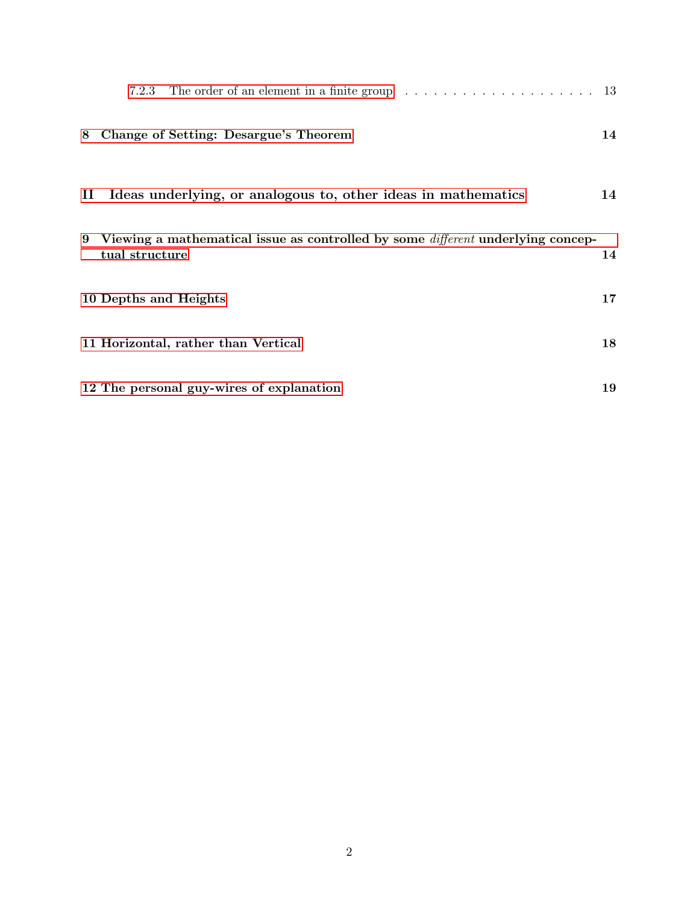|              | The order of an element in a finite group $\dots \dots \dots \dots \dots \dots \dots \dots \dots$ 13<br>7.2.3 |    |
|--------------|---------------------------------------------------------------------------------------------------------------|----|
|              | 8 Change of Setting: Desargue's Theorem                                                                       | 14 |
| $\mathbf{H}$ | Ideas underlying, or analogous to, other ideas in mathematics                                                 | 14 |
|              | 9 Viewing a mathematical issue as controlled by some <i>different</i> underlying concep-<br>tual structure    | 14 |
|              | 10 Depths and Heights                                                                                         | 17 |
|              | 11 Horizontal, rather than Vertical                                                                           | 18 |
|              | 12 The personal guy-wires of explanation                                                                      | 19 |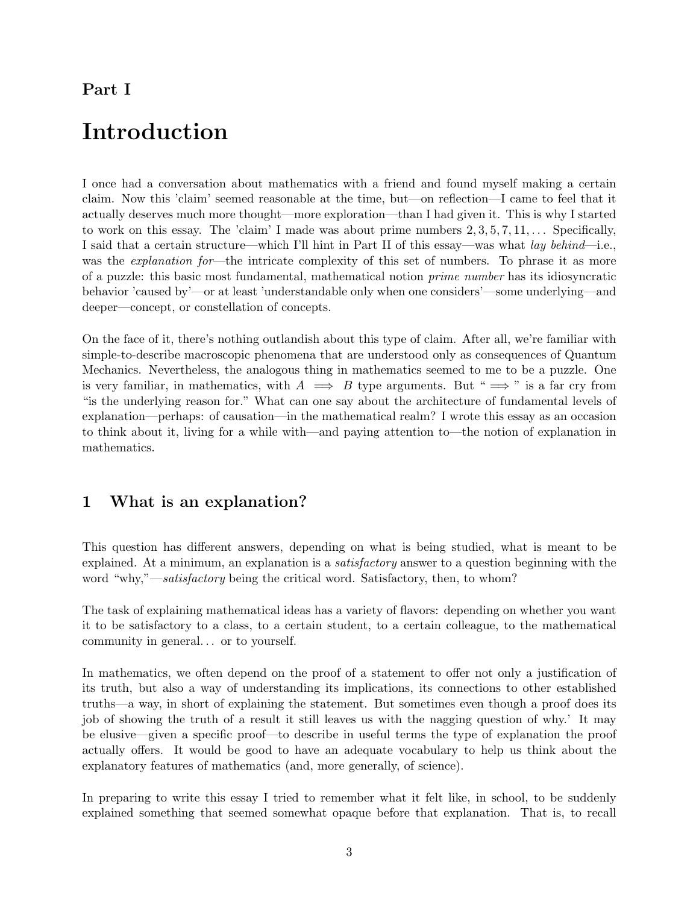### <span id="page-2-0"></span>Part I

# Introduction

I once had a conversation about mathematics with a friend and found myself making a certain claim. Now this 'claim' seemed reasonable at the time, but—on reflection—I came to feel that it actually deserves much more thought—more exploration—than I had given it. This is why I started to work on this essay. The 'claim' I made was about prime numbers  $2, 3, 5, 7, 11, \ldots$ . Specifically, I said that a certain structure—which I'll hint in Part II of this essay—was what lay behind—i.e., was the *explanation for*—the intricate complexity of this set of numbers. To phrase it as more of a puzzle: this basic most fundamental, mathematical notion prime number has its idiosyncratic behavior 'caused by'—or at least 'understandable only when one considers'—some underlying—and deeper—concept, or constellation of concepts.

On the face of it, there's nothing outlandish about this type of claim. After all, we're familiar with simple-to-describe macroscopic phenomena that are understood only as consequences of Quantum Mechanics. Nevertheless, the analogous thing in mathematics seemed to me to be a puzzle. One is very familiar, in mathematics, with  $A \implies B$  type arguments. But " $\implies$ " is a far cry from "is the underlying reason for." What can one say about the architecture of fundamental levels of explanation—perhaps: of causation—in the mathematical realm? I wrote this essay as an occasion to think about it, living for a while with—and paying attention to—the notion of explanation in mathematics.

## <span id="page-2-1"></span>1 What is an explanation?

This question has different answers, depending on what is being studied, what is meant to be explained. At a minimum, an explanation is a *satisfactory* answer to a question beginning with the word "why,"—satisfactory being the critical word. Satisfactory, then, to whom?

The task of explaining mathematical ideas has a variety of flavors: depending on whether you want it to be satisfactory to a class, to a certain student, to a certain colleague, to the mathematical community in general. . . or to yourself.

In mathematics, we often depend on the proof of a statement to offer not only a justification of its truth, but also a way of understanding its implications, its connections to other established truths—a way, in short of explaining the statement. But sometimes even though a proof does its job of showing the truth of a result it still leaves us with the nagging question of why.' It may be elusive—given a specific proof—to describe in useful terms the type of explanation the proof actually offers. It would be good to have an adequate vocabulary to help us think about the explanatory features of mathematics (and, more generally, of science).

In preparing to write this essay I tried to remember what it felt like, in school, to be suddenly explained something that seemed somewhat opaque before that explanation. That is, to recall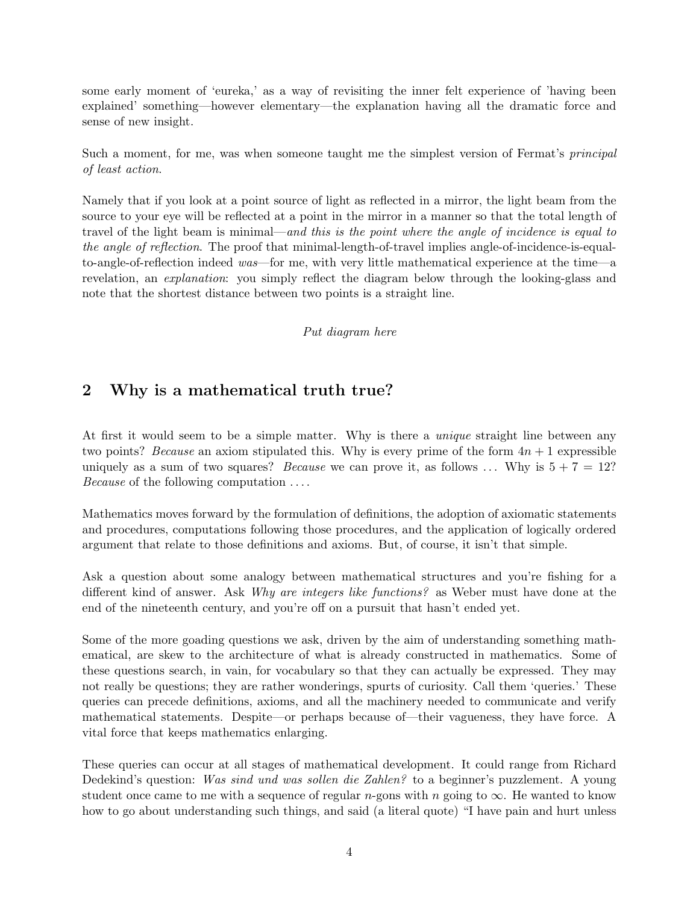some early moment of 'eureka,' as a way of revisiting the inner felt experience of 'having been explained' something—however elementary—the explanation having all the dramatic force and sense of new insight.

Such a moment, for me, was when someone taught me the simplest version of Fermat's principal of least action.

Namely that if you look at a point source of light as reflected in a mirror, the light beam from the source to your eye will be reflected at a point in the mirror in a manner so that the total length of travel of the light beam is minimal—and this is the point where the angle of incidence is equal to the angle of reflection. The proof that minimal-length-of-travel implies angle-of-incidence-is-equalto-angle-of-reflection indeed was—for me, with very little mathematical experience at the time—a revelation, an explanation: you simply reflect the diagram below through the looking-glass and note that the shortest distance between two points is a straight line.

#### Put diagram here

### <span id="page-3-0"></span>2 Why is a mathematical truth true?

At first it would seem to be a simple matter. Why is there a *unique* straight line between any two points? Because an axiom stipulated this. Why is every prime of the form  $4n + 1$  expressible uniquely as a sum of two squares? *Because* we can prove it, as follows ... Why is  $5 + 7 = 12$ ? Because of the following computation . . . .

Mathematics moves forward by the formulation of definitions, the adoption of axiomatic statements and procedures, computations following those procedures, and the application of logically ordered argument that relate to those definitions and axioms. But, of course, it isn't that simple.

Ask a question about some analogy between mathematical structures and you're fishing for a different kind of answer. Ask Why are integers like functions? as Weber must have done at the end of the nineteenth century, and you're off on a pursuit that hasn't ended yet.

Some of the more goading questions we ask, driven by the aim of understanding something mathematical, are skew to the architecture of what is already constructed in mathematics. Some of these questions search, in vain, for vocabulary so that they can actually be expressed. They may not really be questions; they are rather wonderings, spurts of curiosity. Call them 'queries.' These queries can precede definitions, axioms, and all the machinery needed to communicate and verify mathematical statements. Despite—or perhaps because of—their vagueness, they have force. A vital force that keeps mathematics enlarging.

These queries can occur at all stages of mathematical development. It could range from Richard Dedekind's question: Was sind und was sollen die Zahlen? to a beginner's puzzlement. A young student once came to me with a sequence of regular n-gons with n going to  $\infty$ . He wanted to know how to go about understanding such things, and said (a literal quote) "I have pain and hurt unless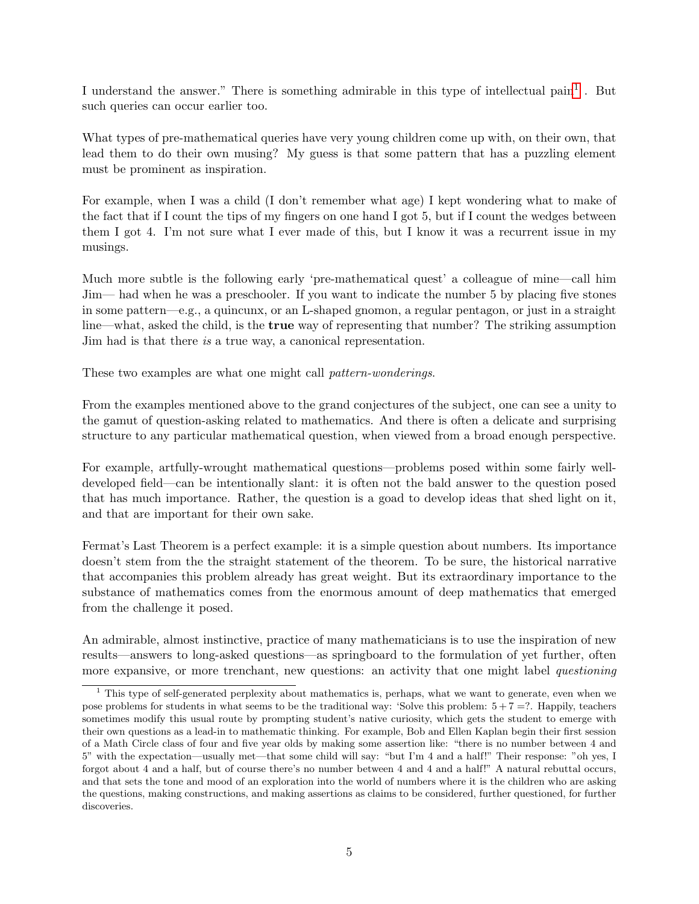I understand the answer." There is something admirable in this type of intellectual pain<sup>[1](#page-4-0)</sup>. But such queries can occur earlier too.

What types of pre-mathematical queries have very young children come up with, on their own, that lead them to do their own musing? My guess is that some pattern that has a puzzling element must be prominent as inspiration.

For example, when I was a child (I don't remember what age) I kept wondering what to make of the fact that if I count the tips of my fingers on one hand I got 5, but if I count the wedges between them I got 4. I'm not sure what I ever made of this, but I know it was a recurrent issue in my musings.

Much more subtle is the following early 'pre-mathematical quest' a colleague of mine—call him Jim— had when he was a preschooler. If you want to indicate the number 5 by placing five stones in some pattern—e.g., a quincunx, or an L-shaped gnomon, a regular pentagon, or just in a straight line—what, asked the child, is the true way of representing that number? The striking assumption Jim had is that there is a true way, a canonical representation.

These two examples are what one might call *pattern-wonderings*.

From the examples mentioned above to the grand conjectures of the subject, one can see a unity to the gamut of question-asking related to mathematics. And there is often a delicate and surprising structure to any particular mathematical question, when viewed from a broad enough perspective.

For example, artfully-wrought mathematical questions—problems posed within some fairly welldeveloped field—can be intentionally slant: it is often not the bald answer to the question posed that has much importance. Rather, the question is a goad to develop ideas that shed light on it, and that are important for their own sake.

Fermat's Last Theorem is a perfect example: it is a simple question about numbers. Its importance doesn't stem from the the straight statement of the theorem. To be sure, the historical narrative that accompanies this problem already has great weight. But its extraordinary importance to the substance of mathematics comes from the enormous amount of deep mathematics that emerged from the challenge it posed.

An admirable, almost instinctive, practice of many mathematicians is to use the inspiration of new results—answers to long-asked questions—as springboard to the formulation of yet further, often more expansive, or more trenchant, new questions: an activity that one might label *questioning* 

<span id="page-4-0"></span><sup>&</sup>lt;sup>1</sup> This type of self-generated perplexity about mathematics is, perhaps, what we want to generate, even when we pose problems for students in what seems to be the traditional way: 'Solve this problem:  $5 + 7 = ?$ . Happily, teachers sometimes modify this usual route by prompting student's native curiosity, which gets the student to emerge with their own questions as a lead-in to mathematic thinking. For example, Bob and Ellen Kaplan begin their first session of a Math Circle class of four and five year olds by making some assertion like: "there is no number between 4 and 5" with the expectation—usually met—that some child will say: "but I'm 4 and a half!" Their response: "oh yes, I forgot about 4 and a half, but of course there's no number between 4 and 4 and a half!" A natural rebuttal occurs, and that sets the tone and mood of an exploration into the world of numbers where it is the children who are asking the questions, making constructions, and making assertions as claims to be considered, further questioned, for further discoveries.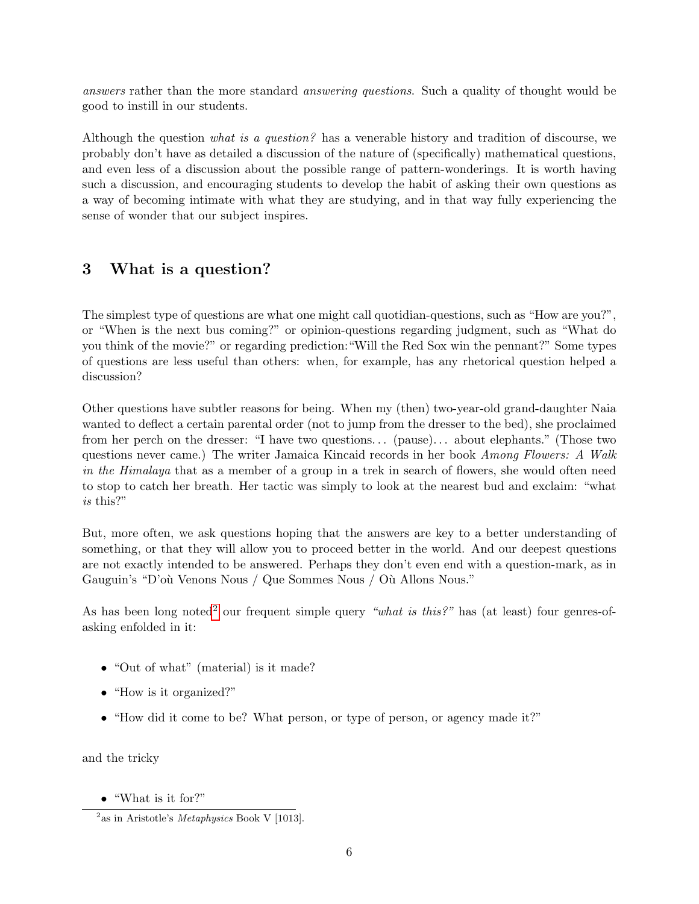answers rather than the more standard answering questions. Such a quality of thought would be good to instill in our students.

Although the question what is a question? has a venerable history and tradition of discourse, we probably don't have as detailed a discussion of the nature of (specifically) mathematical questions, and even less of a discussion about the possible range of pattern-wonderings. It is worth having such a discussion, and encouraging students to develop the habit of asking their own questions as a way of becoming intimate with what they are studying, and in that way fully experiencing the sense of wonder that our subject inspires.

### <span id="page-5-0"></span>3 What is a question?

The simplest type of questions are what one might call quotidian-questions, such as "How are you?", or "When is the next bus coming?" or opinion-questions regarding judgment, such as "What do you think of the movie?" or regarding prediction:"Will the Red Sox win the pennant?" Some types of questions are less useful than others: when, for example, has any rhetorical question helped a discussion?

Other questions have subtler reasons for being. When my (then) two-year-old grand-daughter Naia wanted to deflect a certain parental order (not to jump from the dresser to the bed), she proclaimed from her perch on the dresser: "I have two questions... (pause)... about elephants." (Those two questions never came.) The writer Jamaica Kincaid records in her book Among Flowers: A Walk in the Himalaya that as a member of a group in a trek in search of flowers, she would often need to stop to catch her breath. Her tactic was simply to look at the nearest bud and exclaim: "what is this?"

But, more often, we ask questions hoping that the answers are key to a better understanding of something, or that they will allow you to proceed better in the world. And our deepest questions are not exactly intended to be answered. Perhaps they don't even end with a question-mark, as in Gauguin's "D'où Venons Nous / Que Sommes Nous / Où Allons Nous."

As has been long noted<sup>[2](#page-5-1)</sup> our frequent simple query "what is this?" has (at least) four genres-ofasking enfolded in it:

- "Out of what" (material) is it made?
- "How is it organized?"
- "How did it come to be? What person, or type of person, or agency made it?"

and the tricky

• "What is it for?"

<span id="page-5-1"></span> $^{2}$ as in Aristotle's *Metaphysics* Book V [1013].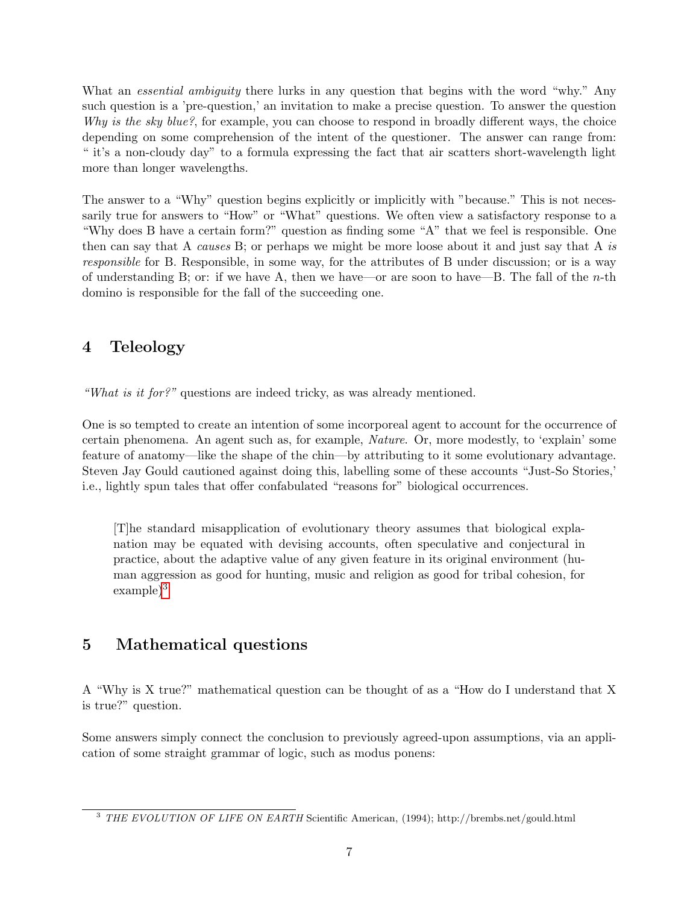What an *essential ambiguity* there lurks in any question that begins with the word "why." Any such question is a 'pre-question,' an invitation to make a precise question. To answer the question Why is the sky blue?, for example, you can choose to respond in broadly different ways, the choice depending on some comprehension of the intent of the questioner. The answer can range from: " it's a non-cloudy day" to a formula expressing the fact that air scatters short-wavelength light more than longer wavelengths.

The answer to a "Why" question begins explicitly or implicitly with "because." This is not necessarily true for answers to "How" or "What" questions. We often view a satisfactory response to a "Why does B have a certain form?" question as finding some "A" that we feel is responsible. One then can say that A causes B; or perhaps we might be more loose about it and just say that A is responsible for B. Responsible, in some way, for the attributes of B under discussion; or is a way of understanding B; or: if we have A, then we have—or are soon to have—B. The fall of the *n*-th domino is responsible for the fall of the succeeding one.

# <span id="page-6-0"></span>4 Teleology

"What is it for?" questions are indeed tricky, as was already mentioned.

One is so tempted to create an intention of some incorporeal agent to account for the occurrence of certain phenomena. An agent such as, for example, Nature. Or, more modestly, to 'explain' some feature of anatomy—like the shape of the chin—by attributing to it some evolutionary advantage. Steven Jay Gould cautioned against doing this, labelling some of these accounts "Just-So Stories,' i.e., lightly spun tales that offer confabulated "reasons for" biological occurrences.

[T]he standard misapplication of evolutionary theory assumes that biological explanation may be equated with devising accounts, often speculative and conjectural in practice, about the adaptive value of any given feature in its original environment (human aggression as good for hunting, music and religion as good for tribal cohesion, for  $\exp^{-3}$  $\exp^{-3}$  $\exp^{-3}$ 

## <span id="page-6-1"></span>5 Mathematical questions

A "Why is X true?" mathematical question can be thought of as a "How do I understand that X is true?" question.

Some answers simply connect the conclusion to previously agreed-upon assumptions, via an application of some straight grammar of logic, such as modus ponens:

<span id="page-6-2"></span><sup>&</sup>lt;sup>3</sup> THE EVOLUTION OF LIFE ON EARTH Scientific American, (1994); http://brembs.net/gould.html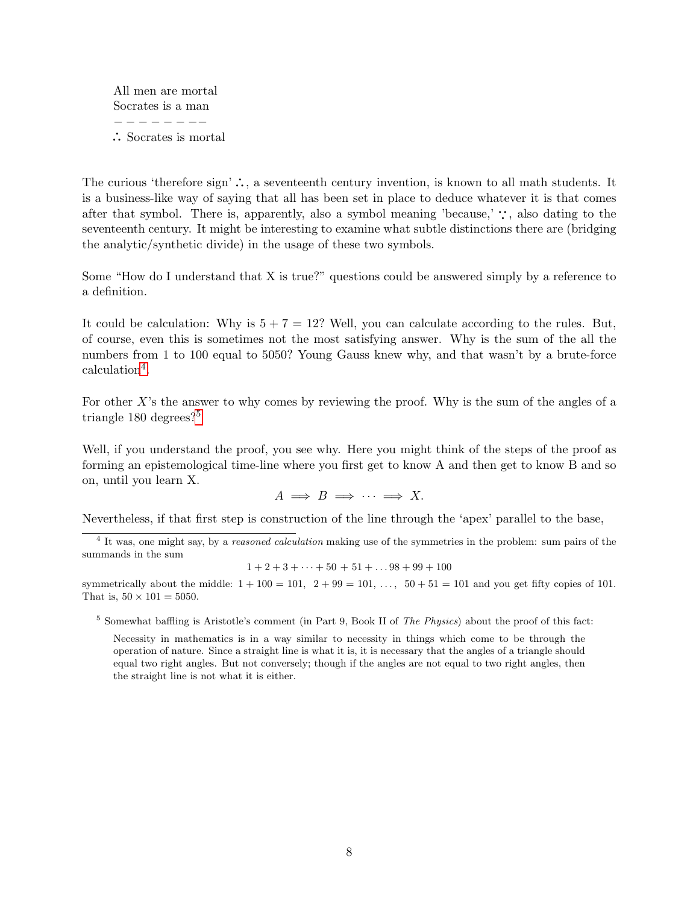All men are mortal Socrates is a man − − − − − − −− · · · Socrates is mortal

The curious 'therefore sign'  $\therefore$ , a seventeenth century invention, is known to all math students. It is a business-like way of saying that all has been set in place to deduce whatever it is that comes after that symbol. There is, apparently, also a symbol meaning 'because,'  $\cdot$ , also dating to the seventeenth century. It might be interesting to examine what subtle distinctions there are (bridging the analytic/synthetic divide) in the usage of these two symbols.

Some "How do I understand that X is true?" questions could be answered simply by a reference to a definition.

It could be calculation: Why is  $5 + 7 = 12$ ? Well, you can calculate according to the rules. But, of course, even this is sometimes not the most satisfying answer. Why is the sum of the all the numbers from 1 to 100 equal to 5050? Young Gauss knew why, and that wasn't by a brute-force calculation<sup>[4](#page-7-0)</sup>.

For other  $X$ 's the answer to why comes by reviewing the proof. Why is the sum of the angles of a triangle 180 degrees?<sup>[5](#page-7-1)</sup>

Well, if you understand the proof, you see why. Here you might think of the steps of the proof as forming an epistemological time-line where you first get to know A and then get to know B and so on, until you learn X.

 $A \implies B \implies \cdots \implies X.$ 

Nevertheless, if that first step is construction of the line through the 'apex' parallel to the base,

<span id="page-7-0"></span><sup>4</sup> It was, one might say, by a *reasoned calculation* making use of the symmetries in the problem: sum pairs of the summands in the sum

$$
1+2+3+\cdots+50+51+\ldots 98+99+100
$$

symmetrically about the middle:  $1 + 100 = 101$ ,  $2 + 99 = 101$ , ...,  $50 + 51 = 101$  and you get fifty copies of 101. That is,  $50 \times 101 = 5050$ .

<span id="page-7-1"></span> $5$  Somewhat baffling is Aristotle's comment (in Part 9, Book II of The Physics) about the proof of this fact:

Necessity in mathematics is in a way similar to necessity in things which come to be through the operation of nature. Since a straight line is what it is, it is necessary that the angles of a triangle should equal two right angles. But not conversely; though if the angles are not equal to two right angles, then the straight line is not what it is either.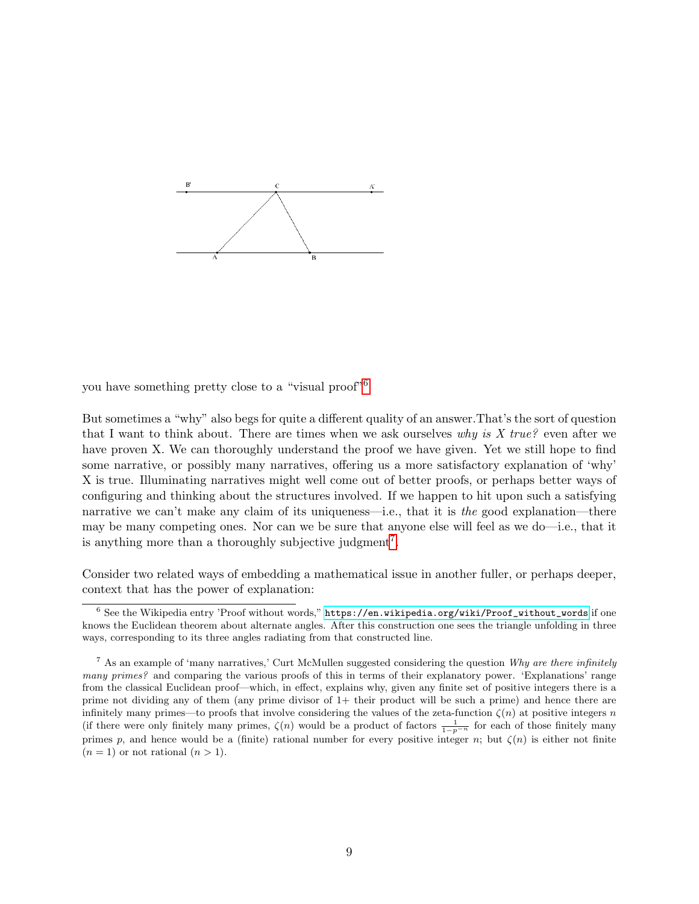

you have something pretty close to a "visual proof"[6](#page-8-0)

But sometimes a "why" also begs for quite a different quality of an answer.That's the sort of question that I want to think about. There are times when we ask ourselves why is X true? even after we have proven X. We can thoroughly understand the proof we have given. Yet we still hope to find some narrative, or possibly many narratives, offering us a more satisfactory explanation of 'why' X is true. Illuminating narratives might well come out of better proofs, or perhaps better ways of configuring and thinking about the structures involved. If we happen to hit upon such a satisfying narrative we can't make any claim of its uniqueness—i.e., that it is the good explanation—there may be many competing ones. Nor can we be sure that anyone else will feel as we do—i.e., that it is anything more than a thoroughly subjective judgment<sup>[7](#page-8-1)</sup>.

Consider two related ways of embedding a mathematical issue in another fuller, or perhaps deeper, context that has the power of explanation:

<span id="page-8-0"></span> $^6$  See the Wikipedia entry 'Proof without words," [https://en.wikipedia.org/wiki/Proof\\_without\\_words](https://en.wikipedia.org/wiki/Proof_without_words) if one knows the Euclidean theorem about alternate angles. After this construction one sees the triangle unfolding in three ways, corresponding to its three angles radiating from that constructed line.

<span id="page-8-1"></span><sup>&</sup>lt;sup>7</sup> As an example of 'many narratives,' Curt McMullen suggested considering the question Why are there infinitely many primes? and comparing the various proofs of this in terms of their explanatory power. 'Explanations' range from the classical Euclidean proof—which, in effect, explains why, given any finite set of positive integers there is a prime not dividing any of them (any prime divisor of 1+ their product will be such a prime) and hence there are infinitely many primes—to proofs that involve considering the values of the zeta-function  $\zeta(n)$  at positive integers n (if there were only finitely many primes,  $\zeta(n)$  would be a product of factors  $\frac{1}{1-p^{-n}}$  for each of those finitely many primes p, and hence would be a (finite) rational number for every positive integer n; but  $\zeta(n)$  is either not finite  $(n = 1)$  or not rational  $(n > 1)$ .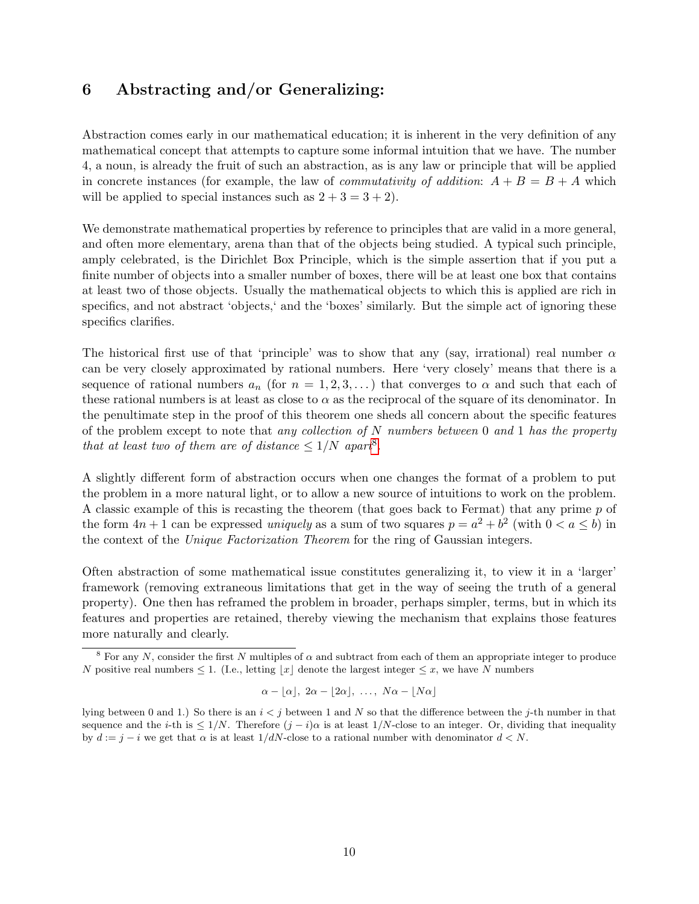### <span id="page-9-0"></span>6 Abstracting and/or Generalizing:

Abstraction comes early in our mathematical education; it is inherent in the very definition of any mathematical concept that attempts to capture some informal intuition that we have. The number 4, a noun, is already the fruit of such an abstraction, as is any law or principle that will be applied in concrete instances (for example, the law of *commutativity of addition*:  $A + B = B + A$  which will be applied to special instances such as  $2 + 3 = 3 + 2$ .

We demonstrate mathematical properties by reference to principles that are valid in a more general, and often more elementary, arena than that of the objects being studied. A typical such principle, amply celebrated, is the Dirichlet Box Principle, which is the simple assertion that if you put a finite number of objects into a smaller number of boxes, there will be at least one box that contains at least two of those objects. Usually the mathematical objects to which this is applied are rich in specifics, and not abstract 'objects,' and the 'boxes' similarly. But the simple act of ignoring these specifics clarifies.

The historical first use of that 'principle' was to show that any (say, irrational) real number  $\alpha$ can be very closely approximated by rational numbers. Here 'very closely' means that there is a sequence of rational numbers  $a_n$  (for  $n = 1, 2, 3, ...$ ) that converges to  $\alpha$  and such that each of these rational numbers is at least as close to  $\alpha$  as the reciprocal of the square of its denominator. In the penultimate step in the proof of this theorem one sheds all concern about the specific features of the problem except to note that any collection of N numbers between 0 and 1 has the property that at least two of them are of distance  $\leq 1/N$  apart<sup>[8](#page-9-1)</sup>.

A slightly different form of abstraction occurs when one changes the format of a problem to put the problem in a more natural light, or to allow a new source of intuitions to work on the problem. A classic example of this is recasting the theorem (that goes back to Fermat) that any prime  $p$  of the form  $4n + 1$  can be expressed *uniquely* as a sum of two squares  $p = a^2 + b^2$  (with  $0 < a \le b$ ) in the context of the Unique Factorization Theorem for the ring of Gaussian integers.

Often abstraction of some mathematical issue constitutes generalizing it, to view it in a 'larger' framework (removing extraneous limitations that get in the way of seeing the truth of a general property). One then has reframed the problem in broader, perhaps simpler, terms, but in which its features and properties are retained, thereby viewing the mechanism that explains those features more naturally and clearly.

$$
\alpha - \lfloor \alpha \rfloor, 2\alpha - \lfloor 2\alpha \rfloor, \ldots, N\alpha - \lfloor N\alpha \rfloor
$$

<span id="page-9-1"></span><sup>&</sup>lt;sup>8</sup> For any N, consider the first N multiples of  $\alpha$  and subtract from each of them an appropriate integer to produce N positive real numbers  $\leq 1$ . (I.e., letting |x| denote the largest integer  $\leq x$ , we have N numbers

lying between 0 and 1.) So there is an  $i < j$  between 1 and N so that the difference between the j-th number in that sequence and the *i*-th is  $\leq 1/N$ . Therefore  $(j - i)\alpha$  is at least  $1/N$ -close to an integer. Or, dividing that inequality by  $d := j - i$  we get that  $\alpha$  is at least  $1/dN$ -close to a rational number with denominator  $d < N$ .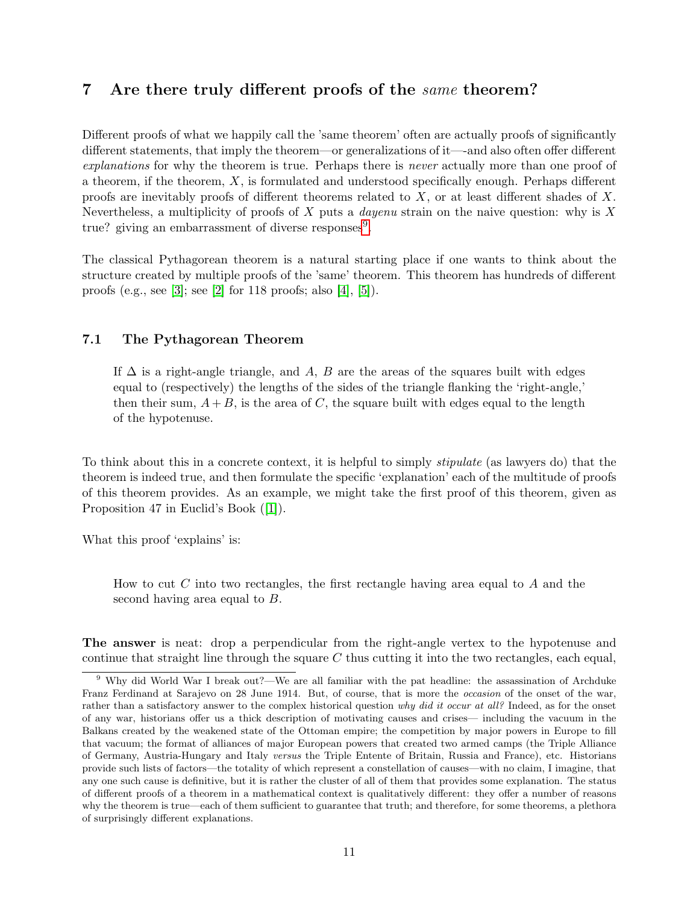### <span id="page-10-0"></span>7 Are there truly different proofs of the same theorem?

Different proofs of what we happily call the 'same theorem' often are actually proofs of significantly different statements, that imply the theorem—or generalizations of it—-and also often offer different explanations for why the theorem is true. Perhaps there is never actually more than one proof of a theorem, if the theorem,  $X$ , is formulated and understood specifically enough. Perhaps different proofs are inevitably proofs of different theorems related to  $X$ , or at least different shades of  $X$ . Nevertheless, a multiplicity of proofs of  $X$  puts a *dayenu* strain on the naive question: why is  $X$ true? giving an embarrassment of diverse responses<sup>[9](#page-10-2)</sup>.

The classical Pythagorean theorem is a natural starting place if one wants to think about the structure created by multiple proofs of the 'same' theorem. This theorem has hundreds of different proofs (e.g., see [\[3\]](#page-18-1); see [\[2\]](#page-18-2) for 118 proofs; also [\[4\]](#page-18-3), [\[5\]](#page-18-4)).

#### <span id="page-10-1"></span>7.1 The Pythagorean Theorem

If  $\Delta$  is a right-angle triangle, and A, B are the areas of the squares built with edges equal to (respectively) the lengths of the sides of the triangle flanking the 'right-angle,' then their sum,  $A + B$ , is the area of C, the square built with edges equal to the length of the hypotenuse.

To think about this in a concrete context, it is helpful to simply stipulate (as lawyers do) that the theorem is indeed true, and then formulate the specific 'explanation' each of the multitude of proofs of this theorem provides. As an example, we might take the first proof of this theorem, given as Proposition 47 in Euclid's Book ([\[1\]](#page-18-5)).

What this proof 'explains' is:

How to cut  $C$  into two rectangles, the first rectangle having area equal to  $A$  and the second having area equal to B.

The answer is neat: drop a perpendicular from the right-angle vertex to the hypotenuse and continue that straight line through the square  $C$  thus cutting it into the two rectangles, each equal,

<span id="page-10-2"></span><sup>9</sup> Why did World War I break out?—We are all familiar with the pat headline: the assassination of Archduke Franz Ferdinand at Sarajevo on 28 June 1914. But, of course, that is more the *occasion* of the onset of the war, rather than a satisfactory answer to the complex historical question why did it occur at all? Indeed, as for the onset of any war, historians offer us a thick description of motivating causes and crises— including the vacuum in the Balkans created by the weakened state of the Ottoman empire; the competition by major powers in Europe to fill that vacuum; the format of alliances of major European powers that created two armed camps (the Triple Alliance of Germany, Austria-Hungary and Italy versus the Triple Entente of Britain, Russia and France), etc. Historians provide such lists of factors—the totality of which represent a constellation of causes—with no claim, I imagine, that any one such cause is definitive, but it is rather the cluster of all of them that provides some explanation. The status of different proofs of a theorem in a mathematical context is qualitatively different: they offer a number of reasons why the theorem is true—each of them sufficient to guarantee that truth; and therefore, for some theorems, a plethora of surprisingly different explanations.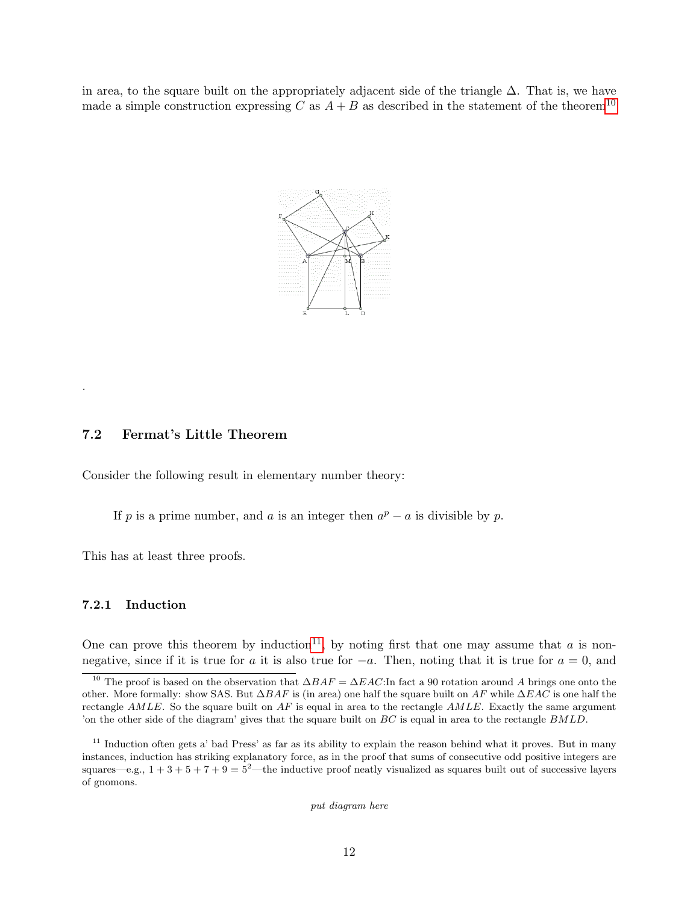in area, to the square built on the appropriately adjacent side of the triangle  $\Delta$ . That is, we have made a simple construction expressing C as  $A + B$  as described in the statement of the theorem<sup>[10](#page-11-2)</sup>



#### <span id="page-11-0"></span>7.2 Fermat's Little Theorem

Consider the following result in elementary number theory:

If p is a prime number, and a is an integer then  $a^p - a$  is divisible by p.

This has at least three proofs.

#### <span id="page-11-1"></span>7.2.1 Induction

.

One can prove this theorem by induction<sup>[11](#page-11-3)</sup>, by noting first that one may assume that a is nonnegative, since if it is true for a it is also true for  $-a$ . Then, noting that it is true for  $a = 0$ , and

put diagram here

<span id="page-11-2"></span><sup>&</sup>lt;sup>10</sup> The proof is based on the observation that  $\Delta BAF = \Delta EAC$ :In fact a 90 rotation around A brings one onto the other. More formally: show SAS. But  $\Delta BAF$  is (in area) one half the square built on AF while  $\Delta EAC$  is one half the rectangle  $AMLE$ . So the square built on  $AF$  is equal in area to the rectangle  $AMLE$ . Exactly the same argument 'on the other side of the diagram' gives that the square built on BC is equal in area to the rectangle BMLD.

<span id="page-11-3"></span> $11$  Induction often gets a' bad Press' as far as its ability to explain the reason behind what it proves. But in many instances, induction has striking explanatory force, as in the proof that sums of consecutive odd positive integers are squares—e.g.,  $1 + 3 + 5 + 7 + 9 = 5^2$ —the inductive proof neatly visualized as squares built out of successive layers of gnomons.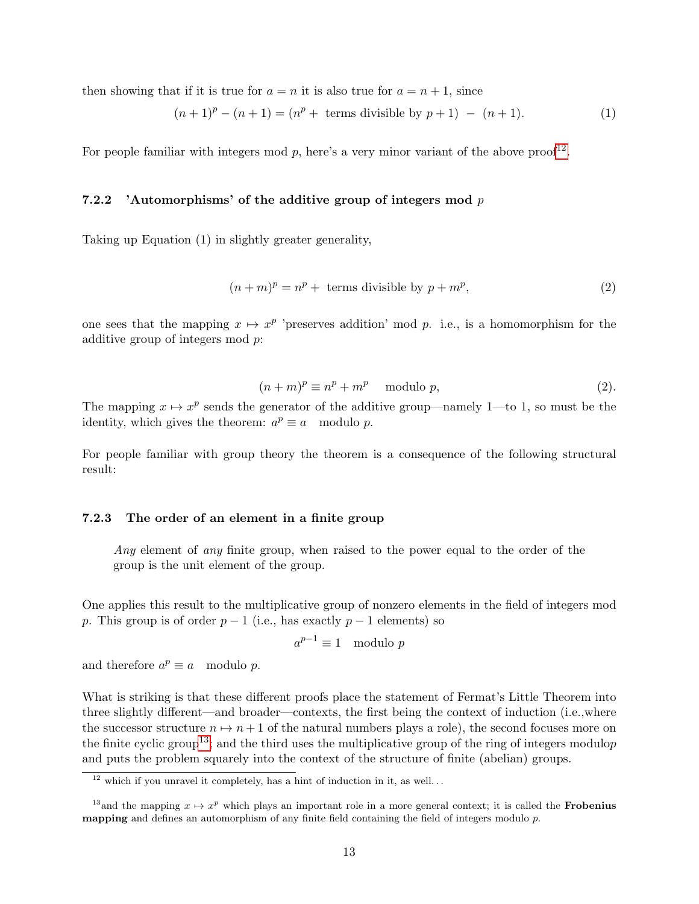then showing that if it is true for  $a = n$  it is also true for  $a = n + 1$ , since

$$
(n+1)p - (n+1) = (np + terms divisible by p+1) - (n+1).
$$
 (1)

For people familiar with integers mod  $p$ , here's a very minor variant of the above proof<sup>[12](#page-12-2)</sup>.

#### <span id="page-12-0"></span>7.2.2 'Automorphisms' of the additive group of integers mod  $p$

Taking up Equation (1) in slightly greater generality,

$$
(n+m)^p = n^p + \text{ terms divisible by } p + m^p,
$$
\n(2)

one sees that the mapping  $x \mapsto x^p$  'preserves addition' mod p. i.e., is a homomorphism for the additive group of integers mod p:

$$
(n+m)^p \equiv n^p + m^p \mod{p},\tag{2}.
$$

The mapping  $x \mapsto x^p$  sends the generator of the additive group—namely 1—to 1, so must be the identity, which gives the theorem:  $a^p \equiv a \mod p$ .

For people familiar with group theory the theorem is a consequence of the following structural result:

#### <span id="page-12-1"></span>7.2.3 The order of an element in a finite group

Any element of any finite group, when raised to the power equal to the order of the group is the unit element of the group.

One applies this result to the multiplicative group of nonzero elements in the field of integers mod p. This group is of order  $p-1$  (i.e., has exactly  $p-1$  elements) so

$$
a^{p-1} \equiv 1 \mod p
$$

and therefore  $a^p \equiv a \mod p$ .

What is striking is that these different proofs place the statement of Fermat's Little Theorem into three slightly different—and broader—contexts, the first being the context of induction (i.e.,where the successor structure  $n \mapsto n + 1$  of the natural numbers plays a role), the second focuses more on the finite cyclic group<sup>[13](#page-12-3)</sup>; and the third uses the multiplicative group of the ring of integers modulop and puts the problem squarely into the context of the structure of finite (abelian) groups.

<span id="page-12-2"></span> $\frac{12}{12}$  which if you unravel it completely, has a hint of induction in it, as well...

<span id="page-12-3"></span><sup>&</sup>lt;sup>13</sup> and the mapping  $x \mapsto x^p$  which plays an important role in a more general context; it is called the **Frobenius mapping** and defines an automorphism of any finite field containing the field of integers modulo  $p$ .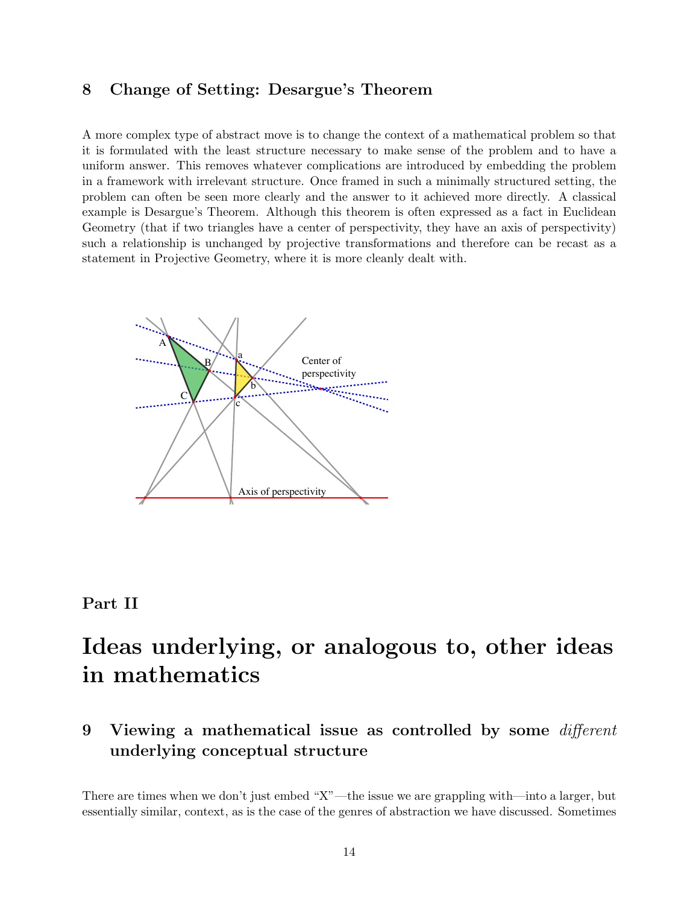## <span id="page-13-0"></span>8 Change of Setting: Desargue's Theorem

A more complex type of abstract move is to change the context of a mathematical problem so that it is formulated with the least structure necessary to make sense of the problem and to have a uniform answer. This removes whatever complications are introduced by embedding the problem in a framework with irrelevant structure. Once framed in such a minimally structured setting, the problem can often be seen more clearly and the answer to it achieved more directly. A classical example is Desargue's Theorem. Although this theorem is often expressed as a fact in Euclidean Geometry (that if two triangles have a center of perspectivity, they have an axis of perspectivity) such a relationship is unchanged by projective transformations and therefore can be recast as a statement in Projective Geometry, where it is more cleanly dealt with.



### <span id="page-13-1"></span>Part II

# Ideas underlying, or analogous to, other ideas in mathematics

<span id="page-13-2"></span>9 Viewing a mathematical issue as controlled by some  $differential$ underlying conceptual structure

There are times when we don't just embed "X"—the issue we are grappling with—into a larger, but essentially similar, context, as is the case of the genres of abstraction we have discussed. Sometimes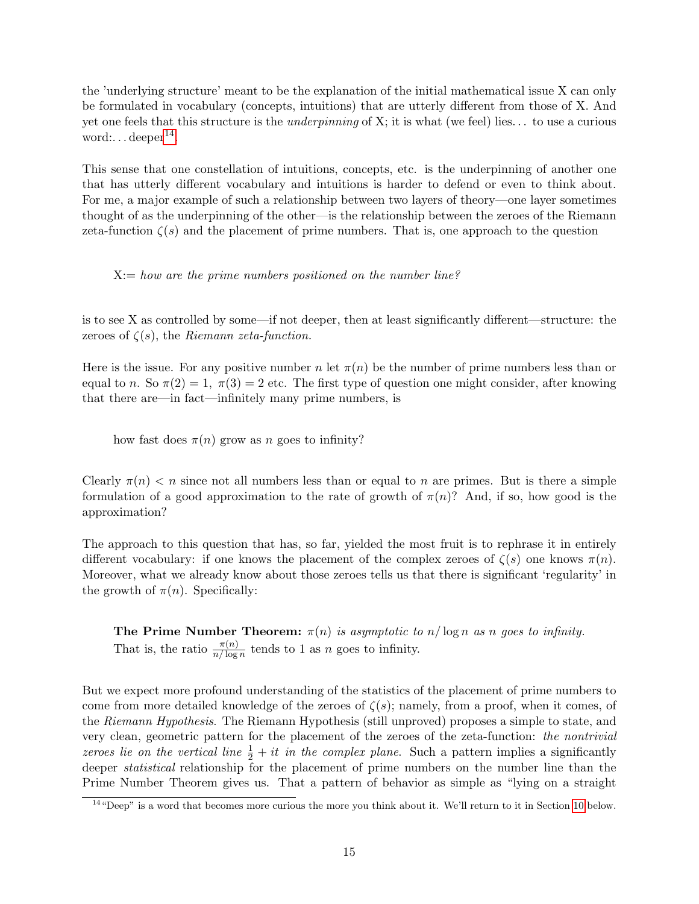the 'underlying structure' meant to be the explanation of the initial mathematical issue X can only be formulated in vocabulary (concepts, intuitions) that are utterly different from those of X. And yet one feels that this structure is the underpinning of X; it is what (we feel) lies. . . to use a curious word:...  $\text{deeper}^{14}$  $\text{deeper}^{14}$  $\text{deeper}^{14}$ .

This sense that one constellation of intuitions, concepts, etc. is the underpinning of another one that has utterly different vocabulary and intuitions is harder to defend or even to think about. For me, a major example of such a relationship between two layers of theory—one layer sometimes thought of as the underpinning of the other—is the relationship between the zeroes of the Riemann zeta-function  $\zeta(s)$  and the placement of prime numbers. That is, one approach to the question

 $X:= how are the prime numbers positioned on the number line?$ 

is to see X as controlled by some—if not deeper, then at least significantly different—structure: the zeroes of  $\zeta(s)$ , the Riemann zeta-function.

Here is the issue. For any positive number n let  $\pi(n)$  be the number of prime numbers less than or equal to n. So  $\pi(2) = 1$ ,  $\pi(3) = 2$  etc. The first type of question one might consider, after knowing that there are—in fact—infinitely many prime numbers, is

how fast does  $\pi(n)$  grow as n goes to infinity?

Clearly  $\pi(n) < n$  since not all numbers less than or equal to n are primes. But is there a simple formulation of a good approximation to the rate of growth of  $\pi(n)$ ? And, if so, how good is the approximation?

The approach to this question that has, so far, yielded the most fruit is to rephrase it in entirely different vocabulary: if one knows the placement of the complex zeroes of  $\zeta(s)$  one knows  $\pi(n)$ . Moreover, what we already know about those zeroes tells us that there is significant 'regularity' in the growth of  $\pi(n)$ . Specifically:

**The Prime Number Theorem:**  $\pi(n)$  is asymptotic to  $n/\log n$  as n goes to infinity. That is, the ratio  $\frac{\pi(n)}{n/\log n}$  tends to 1 as n goes to infinity.

But we expect more profound understanding of the statistics of the placement of prime numbers to come from more detailed knowledge of the zeroes of  $\zeta(s)$ ; namely, from a proof, when it comes, of the Riemann Hypothesis. The Riemann Hypothesis (still unproved) proposes a simple to state, and very clean, geometric pattern for the placement of the zeroes of the zeta-function: the nontrivial zeroes lie on the vertical line  $\frac{1}{2} + it$  in the complex plane. Such a pattern implies a significantly deeper statistical relationship for the placement of prime numbers on the number line than the Prime Number Theorem gives us. That a pattern of behavior as simple as "lying on a straight

<span id="page-14-0"></span> $14$ "Deep" is a word that becomes more curious the more you think about it. We'll return to it in Section [10](#page-16-0) below.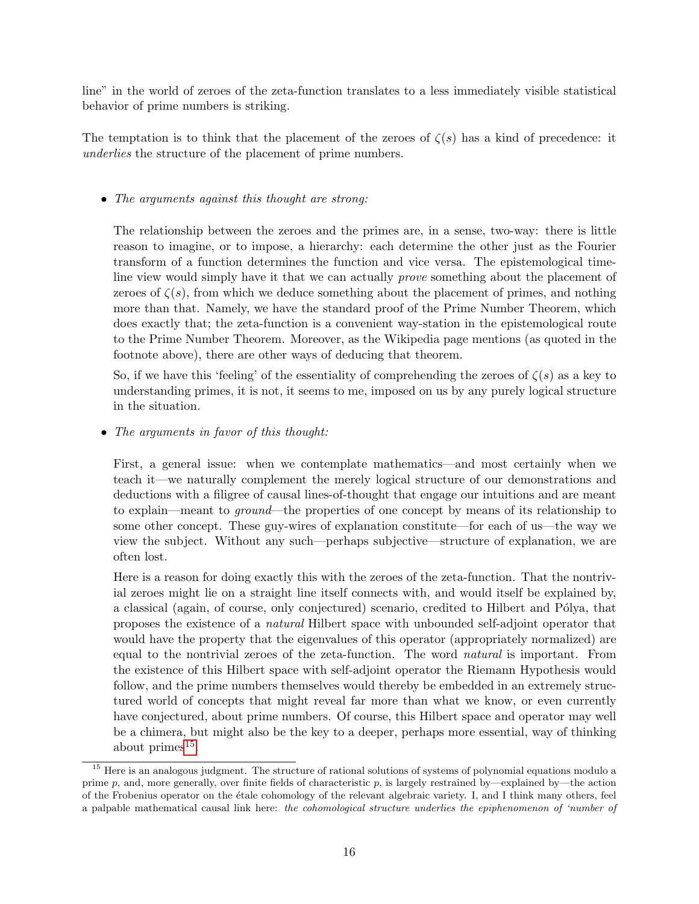line" in the world of zeroes of the zeta-function translates to a less immediately visible statistical behavior of prime numbers is striking.

The temptation is to think that the placement of the zeroes of  $\zeta(s)$  has a kind of precedence: it underlies the structure of the placement of prime numbers.

#### • The arguments against this thought are strong:

The relationship between the zeroes and the primes are, in a sense, two-way: there is little reason to imagine, or to impose, a hierarchy: each determine the other just as the Fourier transform of a function determines the function and vice versa. The epistemological timeline view would simply have it that we can actually prove something about the placement of zeroes of  $\zeta(s)$ , from which we deduce something about the placement of primes, and nothing more than that. Namely, we have the standard proof of the Prime Number Theorem, which does exactly that; the zeta-function is a convenient way-station in the epistemological route to the Prime Number Theorem. Moreover, as the Wikipedia page mentions (as quoted in the footnote above), there are other ways of deducing that theorem.

So, if we have this 'feeling' of the essentiality of comprehending the zeroes of  $\zeta(s)$  as a key to understanding primes, it is not, it seems to me, imposed on us by any purely logical structure in the situation.

• The arguments in favor of this thought:

First, a general issue: when we contemplate mathematics—and most certainly when we teach it—we naturally complement the merely logical structure of our demonstrations and deductions with a filigree of causal lines-of-thought that engage our intuitions and are meant to explain—meant to ground—the properties of one concept by means of its relationship to some other concept. These guy-wires of explanation constitute—for each of us—the way we view the subject. Without any such—perhaps subjective—structure of explanation, we are often lost.

Here is a reason for doing exactly this with the zeroes of the zeta-function. That the nontrivial zeroes might lie on a straight line itself connects with, and would itself be explained by, a classical (again, of course, only conjectured) scenario, credited to Hilbert and Pólya, that proposes the existence of a natural Hilbert space with unbounded self-adjoint operator that would have the property that the eigenvalues of this operator (appropriately normalized) are equal to the nontrivial zeroes of the zeta-function. The word natural is important. From the existence of this Hilbert space with self-adjoint operator the Riemann Hypothesis would follow, and the prime numbers themselves would thereby be embedded in an extremely structured world of concepts that might reveal far more than what we know, or even currently have conjectured, about prime numbers. Of course, this Hilbert space and operator may well be a chimera, but might also be the key to a deeper, perhaps more essential, way of thinking about primes $^{15}$  $^{15}$  $^{15}$ .

<span id="page-15-0"></span><sup>&</sup>lt;sup>15</sup> Here is an analogous judgment. The structure of rational solutions of systems of polynomial equations modulo a prime p, and, more generally, over finite fields of characteristic p, is largely restrained by—explained by—the action of the Frobenius operator on the ´etale cohomology of the relevant algebraic variety. I, and I think many others, feel a palpable mathematical causal link here: the cohomological structure underlies the epiphenomenon of 'number of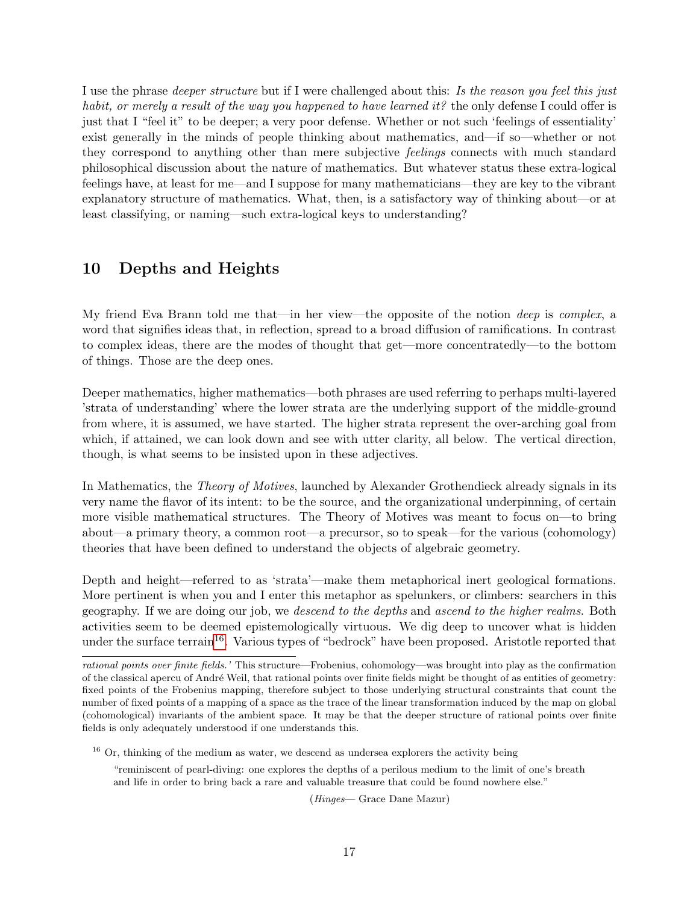I use the phrase deeper structure but if I were challenged about this: Is the reason you feel this just habit, or merely a result of the way you happened to have learned it? the only defense I could offer is just that I "feel it" to be deeper; a very poor defense. Whether or not such 'feelings of essentiality' exist generally in the minds of people thinking about mathematics, and—if so—whether or not they correspond to anything other than mere subjective feelings connects with much standard philosophical discussion about the nature of mathematics. But whatever status these extra-logical feelings have, at least for me—and I suppose for many mathematicians—they are key to the vibrant explanatory structure of mathematics. What, then, is a satisfactory way of thinking about—or at least classifying, or naming—such extra-logical keys to understanding?

### <span id="page-16-0"></span>10 Depths and Heights

My friend Eva Brann told me that—in her view—the opposite of the notion deep is complex, a word that signifies ideas that, in reflection, spread to a broad diffusion of ramifications. In contrast to complex ideas, there are the modes of thought that get—more concentratedly—to the bottom of things. Those are the deep ones.

Deeper mathematics, higher mathematics—both phrases are used referring to perhaps multi-layered 'strata of understanding' where the lower strata are the underlying support of the middle-ground from where, it is assumed, we have started. The higher strata represent the over-arching goal from which, if attained, we can look down and see with utter clarity, all below. The vertical direction, though, is what seems to be insisted upon in these adjectives.

In Mathematics, the *Theory of Motives*, launched by Alexander Grothendieck already signals in its very name the flavor of its intent: to be the source, and the organizational underpinning, of certain more visible mathematical structures. The Theory of Motives was meant to focus on—to bring about—a primary theory, a common root—a precursor, so to speak—for the various (cohomology) theories that have been defined to understand the objects of algebraic geometry.

Depth and height—referred to as 'strata'—make them metaphorical inert geological formations. More pertinent is when you and I enter this metaphor as spelunkers, or climbers: searchers in this geography. If we are doing our job, we descend to the depths and ascend to the higher realms. Both activities seem to be deemed epistemologically virtuous. We dig deep to uncover what is hidden under the surface terrain<sup>[16](#page-16-1)</sup>. Various types of "bedrock" have been proposed. Aristotle reported that

<span id="page-16-1"></span><sup>16</sup> Or, thinking of the medium as water, we descend as undersea explorers the activity being

"reminiscent of pearl-diving: one explores the depths of a perilous medium to the limit of one's breath and life in order to bring back a rare and valuable treasure that could be found nowhere else."

(Hinges— Grace Dane Mazur)

rational points over finite fields.' This structure—Frobenius, cohomology—was brought into play as the confirmation of the classical apercu of André Weil, that rational points over finite fields might be thought of as entities of geometry: fixed points of the Frobenius mapping, therefore subject to those underlying structural constraints that count the number of fixed points of a mapping of a space as the trace of the linear transformation induced by the map on global (cohomological) invariants of the ambient space. It may be that the deeper structure of rational points over finite fields is only adequately understood if one understands this.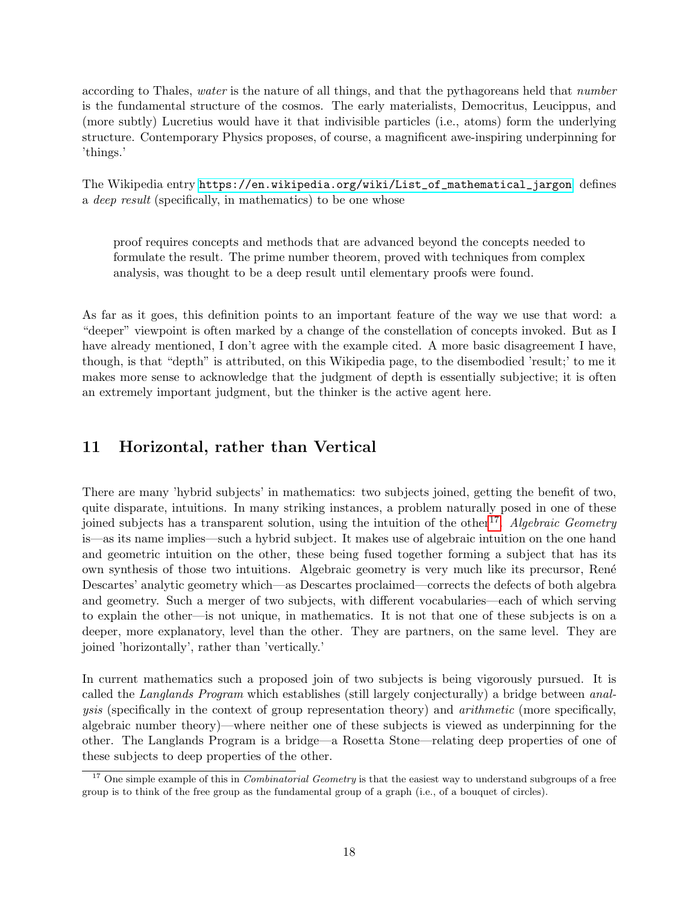according to Thales, water is the nature of all things, and that the pythagoreans held that number is the fundamental structure of the cosmos. The early materialists, Democritus, Leucippus, and (more subtly) Lucretius would have it that indivisible particles (i.e., atoms) form the underlying structure. Contemporary Physics proposes, of course, a magnificent awe-inspiring underpinning for 'things.'

The Wikipedia entry [https://en.wikipedia.org/wiki/List\\_of\\_mathematical\\_jargon]( https://en.wikipedia.org/wiki/List_of_mathematical_jargon) defines a deep result (specifically, in mathematics) to be one whose

proof requires concepts and methods that are advanced beyond the concepts needed to formulate the result. The prime number theorem, proved with techniques from complex analysis, was thought to be a deep result until elementary proofs were found.

As far as it goes, this definition points to an important feature of the way we use that word: a "deeper" viewpoint is often marked by a change of the constellation of concepts invoked. But as I have already mentioned, I don't agree with the example cited. A more basic disagreement I have, though, is that "depth" is attributed, on this Wikipedia page, to the disembodied 'result;' to me it makes more sense to acknowledge that the judgment of depth is essentially subjective; it is often an extremely important judgment, but the thinker is the active agent here.

### <span id="page-17-0"></span>11 Horizontal, rather than Vertical

There are many 'hybrid subjects' in mathematics: two subjects joined, getting the benefit of two, quite disparate, intuitions. In many striking instances, a problem naturally posed in one of these joined subjects has a transparent solution, using the intuition of the other<sup>[17](#page-17-1)</sup>. Algebraic Geometry is—as its name implies—such a hybrid subject. It makes use of algebraic intuition on the one hand and geometric intuition on the other, these being fused together forming a subject that has its own synthesis of those two intuitions. Algebraic geometry is very much like its precursor, Ren´e Descartes' analytic geometry which—as Descartes proclaimed—corrects the defects of both algebra and geometry. Such a merger of two subjects, with different vocabularies—each of which serving to explain the other—is not unique, in mathematics. It is not that one of these subjects is on a deeper, more explanatory, level than the other. They are partners, on the same level. They are joined 'horizontally', rather than 'vertically.'

In current mathematics such a proposed join of two subjects is being vigorously pursued. It is called the Langlands Program which establishes (still largely conjecturally) a bridge between analysis (specifically in the context of group representation theory) and arithmetic (more specifically, algebraic number theory)—where neither one of these subjects is viewed as underpinning for the other. The Langlands Program is a bridge—a Rosetta Stone—relating deep properties of one of these subjects to deep properties of the other.

<span id="page-17-1"></span><sup>&</sup>lt;sup>17</sup> One simple example of this in *Combinatorial Geometry* is that the easiest way to understand subgroups of a free group is to think of the free group as the fundamental group of a graph (i.e., of a bouquet of circles).